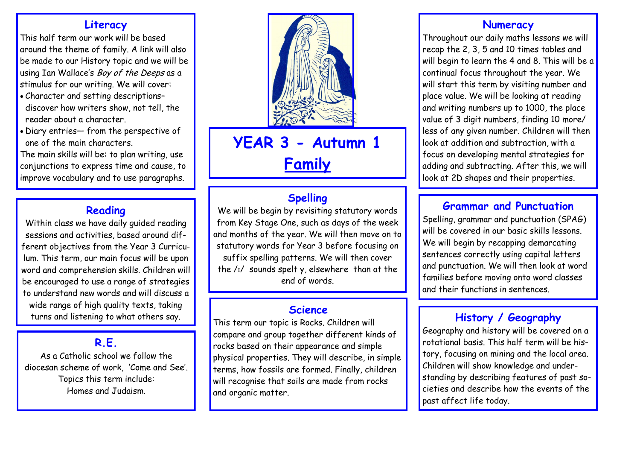### **Literacy**

This half term our work will be based around the theme of family. A link will also be made to our History topic and we will be using Ian Wallace's *Boy of the Deeps* as a stimulus for our writing. We will cover:

- Character and setting descriptions– discover how writers show, not tell, the reader about a character.
- Diary entries— from the perspective of one of the main characters.

The main skills will be: to plan writing, use conjunctions to express time and cause, to improve vocabulary and to use paragraphs.

### **Reading**

Within class we have daily guided reading sessions and activities, based around different objectives from the Year 3 Curriculum. This term, our main focus will be upon word and comprehension skills. Children will be encouraged to use a range of strategies to understand new words and will discuss a wide range of high quality texts, taking turns and listening to what others say.

## **R.E.**

As a Catholic school we follow the diocesan scheme of work, 'Come and See'. Topics this term include: Homes and Judaism.



# **YEAR 3 - Autumn 1 Family**

# **Spelling**

We will be begin by revisiting statutory words from Key Stage One, such as days of the week and months of the year. We will then move on to statutory words for Year 3 before focusing on suffix spelling patterns. We will then cover the /ɪ/ sounds spelt y, elsewhere than at the end of words.

### **Science**

This term our topic is Rocks. Children will compare and group together different kinds of rocks based on their appearance and simple physical properties. They will describe, in simple terms, how fossils are formed. Finally, children will recognise that soils are made from rocks and organic matter.

### **Numeracy**

Throughout our daily maths lessons we will recap the 2, 3, 5 and 10 times tables and will begin to learn the 4 and 8. This will be a continual focus throughout the year. We will start this term by visiting number and place value. We will be looking at reading and writing numbers up to 1000, the place value of 3 digit numbers, finding 10 more/ less of any given number. Children will then look at addition and subtraction, with a focus on developing mental strategies for adding and subtracting. After this, we will look at 2D shapes and their properties.

### **Grammar and Punctuation**

Spelling, grammar and punctuation (SPAG) will be covered in our basic skills lessons. We will begin by recapping demarcating sentences correctly using capital letters and punctuation. We will then look at word families before moving onto word classes and their functions in sentences.

# **History / Geography**

Geography and history will be covered on a rotational basis. This half term will be history, focusing on mining and the local area. Children will show knowledge and understanding by describing features of past societies and describe how the events of the past affect life today.